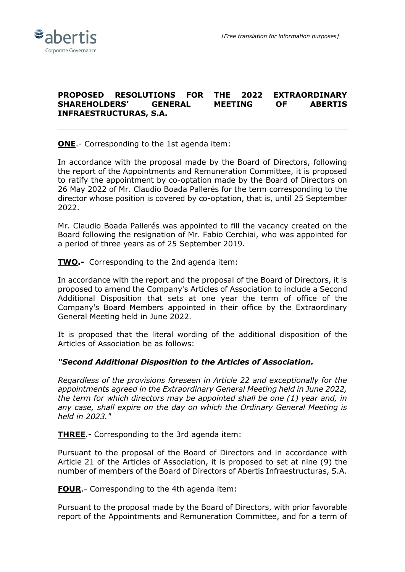## **PROPOSED RESOLUTIONS FOR THE 2022 EXTRAORDINARY SHAREHOLDERS' GENERAL MEETING OF ABERTIS INFRAESTRUCTURAS, S.A.**

**ONE**.- Corresponding to the 1st agenda item:

In accordance with the proposal made by the Board of Directors, following the report of the Appointments and Remuneration Committee, it is proposed to ratify the appointment by co-optation made by the Board of Directors on 26 May 2022 of Mr. Claudio Boada Pallerés for the term corresponding to the director whose position is covered by co-optation, that is, until 25 September 2022.

Mr. Claudio Boada Pallerés was appointed to fill the vacancy created on the Board following the resignation of Mr. Fabio Cerchiai, who was appointed for a period of three years as of 25 September 2019.

**TWO.-** Corresponding to the 2nd agenda item:

In accordance with the report and the proposal of the Board of Directors, it is proposed to amend the Company's Articles of Association to include a Second Additional Disposition that sets at one year the term of office of the Company's Board Members appointed in their office by the Extraordinary General Meeting held in June 2022.

It is proposed that the literal wording of the additional disposition of the Articles of Association be as follows:

## *"Second Additional Disposition to the Articles of Association.*

*Regardless of the provisions foreseen in Article 22 and exceptionally for the appointments agreed in the Extraordinary General Meeting held in June 2022, the term for which directors may be appointed shall be one (1) year and, in any case, shall expire on the day on which the Ordinary General Meeting is held in 2023."*

**THREE**.- Corresponding to the 3rd agenda item:

Pursuant to the proposal of the Board of Directors and in accordance with Article 21 of the Articles of Association, it is proposed to set at nine (9) the number of members of the Board of Directors of Abertis Infraestructuras, S.A.

**FOUR**.- Corresponding to the 4th agenda item:

Pursuant to the proposal made by the Board of Directors, with prior favorable report of the Appointments and Remuneration Committee, and for a term of